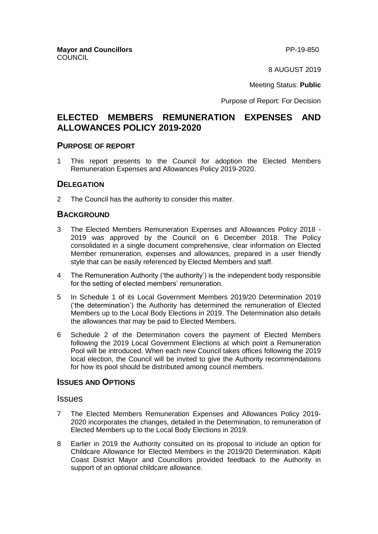8 AUGUST 2019

Meeting Status: **Public**

Purpose of Report: For Decision

# **ELECTED MEMBERS REMUNERATION EXPENSES AND ALLOWANCES POLICY 2019-2020**

#### **PURPOSE OF REPORT**

1 This report presents to the Council for adoption the Elected Members Remuneration Expenses and Allowances Policy 2019-2020.

#### **DELEGATION**

2 The Council has the authority to consider this matter.

### **BACKGROUND**

- 3 The Elected Members Remuneration Expenses and Allowances Policy 2018 2019 was approved by the Council on 6 December 2018. The Policy consolidated in a single document comprehensive, clear information on Elected Member remuneration, expenses and allowances, prepared in a user friendly style that can be easily referenced by Elected Members and staff.
- 4 The Remuneration Authority ('the authority') is the independent body responsible for the setting of elected members' remuneration.
- 5 In Schedule 1 of its Local Government Members 2019/20 Determination 2019 ('the determination') the Authority has determined the remuneration of Elected Members up to the Local Body Elections in 2019. The Determination also details the allowances that may be paid to Elected Members.
- 6 Schedule 2 of the Determination covers the payment of Elected Members following the 2019 Local Government Elections at which point a Remuneration Pool will be introduced. When each new Council takes offices following the 2019 local election, the Council will be invited to give the Authority recommendations for how its pool should be distributed among council members.

#### **ISSUES AND OPTIONS**

#### Issues

- 7 The Elected Members Remuneration Expenses and Allowances Policy 2019- 2020 incorporates the changes, detailed in the Determination, to remuneration of Elected Members up to the Local Body Elections in 2019.
- 8 Earlier in 2019 the Authority consulted on its proposal to include an option for Childcare Allowance for Elected Members in the 2019/20 Determination. Kāpiti Coast District Mayor and Councillors provided feedback to the Authority in support of an optional childcare allowance.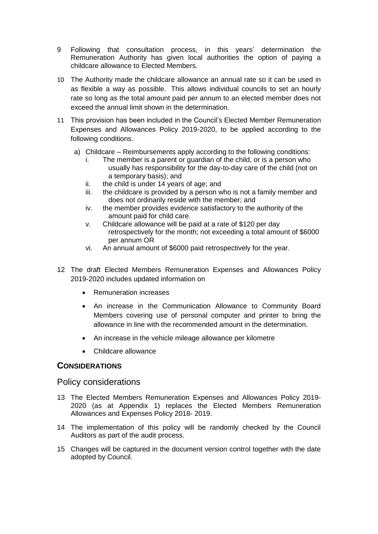- 9 Following that consultation process, in this years' determination the Remuneration Authority has given local authorities the option of paying a childcare allowance to Elected Members.
- 10 The Authority made the childcare allowance an annual rate so it can be used in as flexible a way as possible. This allows individual councils to set an hourly rate so long as the total amount paid per annum to an elected member does not exceed the annual limit shown in the determination.
- 11 This provision has been included in the Council's Elected Member Remuneration Expenses and Allowances Policy 2019-2020, to be applied according to the following conditions.
	- a) Childcare Reimbursements apply according to the following conditions:
		- i. The member is a parent or guardian of the child, or is a person who usually has responsibility for the day-to-day care of the child (not on a temporary basis); and
		- ii. the child is under 14 years of age; and
		- iii. the childcare is provided by a person who is not a family member and does not ordinarily reside with the member; and
		- iv. the member provides evidence satisfactory to the authority of the amount paid for child care.
		- v. Childcare allowance will be paid at a rate of \$120 per day retrospectively for the month; not exceeding a total amount of \$6000 per annum OR
		- vi. An annual amount of \$6000 paid retrospectively for the year.
- 12 The draft Elected Members Remuneration Expenses and Allowances Policy 2019-2020 includes updated information on
	- Remuneration increases
	- An increase in the Communication Allowance to Community Board Members covering use of personal computer and printer to bring the allowance in line with the recommended amount in the determination.
	- An increase in the vehicle mileage allowance per kilometre
	- Childcare allowance

## **CONSIDERATIONS**

### Policy considerations

- 13 The Elected Members Remuneration Expenses and Allowances Policy 2019- 2020 (as at Appendix 1) replaces the Elected Members Remuneration Allowances and Expenses Policy 2018- 2019.
- 14 The implementation of this policy will be randomly checked by the Council Auditors as part of the audit process.
- 15 Changes will be captured in the document version control together with the date adopted by Council.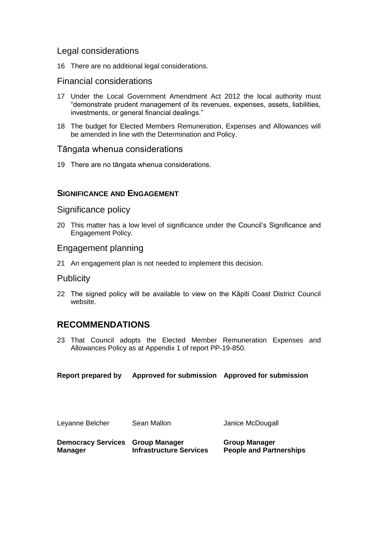### Legal considerations

16 There are no additional legal considerations.

#### Financial considerations

- 17 Under the Local Government Amendment Act 2012 the local authority must "demonstrate prudent management of its revenues, expenses, assets, liabilities, investments, or general financial dealings."
- 18 The budget for Elected Members Remuneration, Expenses and Allowances will be amended in line with the Determination and Policy.

#### Tāngata whenua considerations

19 There are no tāngata whenua considerations.

#### **SIGNIFICANCE AND ENGAGEMENT**

#### Significance policy

20 This matter has a low level of significance under the Council's Significance and Engagement Policy.

#### Engagement planning

21 An engagement plan is not needed to implement this decision.

#### Publicity

22 The signed policy will be available to view on the Kāpiti Coast District Council website.

## **RECOMMENDATIONS**

23 That Council adopts the Elected Member Remuneration Expenses and Allowances Policy as at Appendix 1 of report PP-19-850.

**Report prepared by Approved for submission Approved for submission**

| Leyanne Belcher           | Sean Mallon                    | Janice McDougall               |
|---------------------------|--------------------------------|--------------------------------|
| <b>Democracy Services</b> | <b>Group Manager</b>           | <b>Group Manager</b>           |
| <b>Manager</b>            | <b>Infrastructure Services</b> | <b>People and Partnerships</b> |